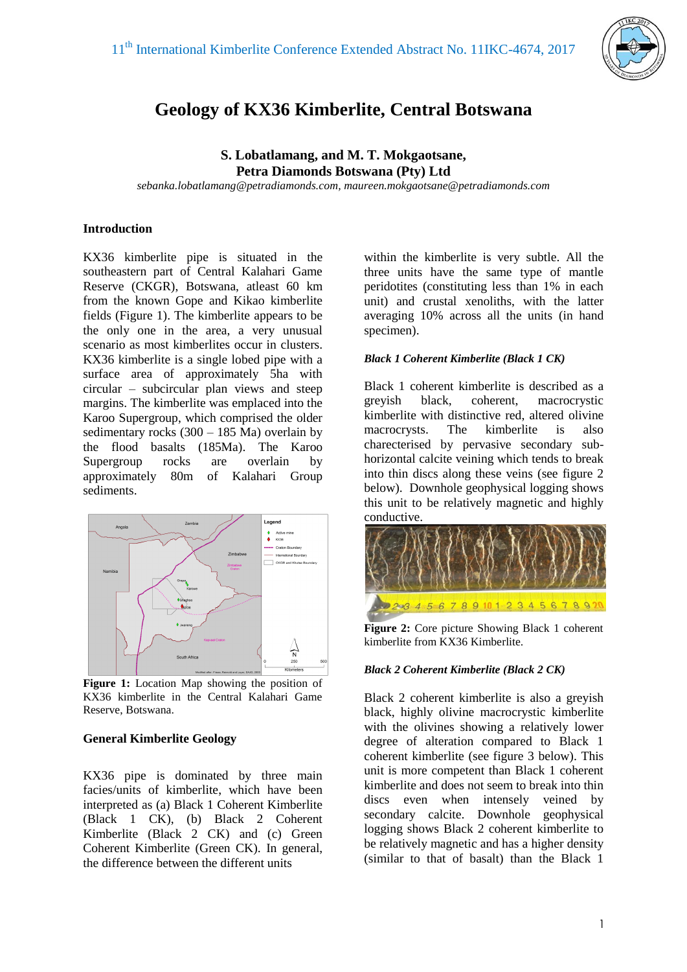

# **Geology of KX36 Kimberlite, Central Botswana**

**S. Lobatlamang, and M. T. Mokgaotsane, Petra Diamonds Botswana (Pty) Ltd**

*sebanka.lobatlamang@petradiamonds.com, maureen.mokgaotsane@petradiamonds.com*

#### **Introduction**

KX36 kimberlite pipe is situated in the southeastern part of Central Kalahari Game Reserve (CKGR), Botswana, atleast 60 km from the known Gope and Kikao kimberlite fields (Figure 1). The kimberlite appears to be the only one in the area, a very unusual scenario as most kimberlites occur in clusters. KX36 kimberlite is a single lobed pipe with a surface area of approximately 5ha with circular – subcircular plan views and steep margins. The kimberlite was emplaced into the Karoo Supergroup, which comprised the older sedimentary rocks (300 – 185 Ma) overlain by the flood basalts (185Ma). The Karoo Supergroup rocks are overlain by approximately 80m of Kalahari Group sediments.



**Figure 1:** Location Map showing the position of KX36 kimberlite in the Central Kalahari Game Reserve, Botswana.

### **General Kimberlite Geology**

KX36 pipe is dominated by three main facies/units of kimberlite, which have been interpreted as (a) Black 1 Coherent Kimberlite (Black 1 CK), (b) Black 2 Coherent Kimberlite (Black 2 CK) and (c) Green Coherent Kimberlite (Green CK). In general, the difference between the different units

within the kimberlite is very subtle. All the three units have the same type of mantle peridotites (constituting less than 1% in each unit) and crustal xenoliths, with the latter averaging 10% across all the units (in hand specimen).

#### *Black 1 Coherent Kimberlite (Black 1 CK)*

Black 1 coherent kimberlite is described as a greyish black, coherent, macrocrystic kimberlite with distinctive red, altered olivine macrocrysts. The kimberlite is also charecterised by pervasive secondary subhorizontal calcite veining which tends to break into thin discs along these veins (see figure 2 below). Downhole geophysical logging shows this unit to be relatively magnetic and highly conductive.



**Figure 2:** Core picture Showing Black 1 coherent kimberlite from KX36 Kimberlite.

### *Black 2 Coherent Kimberlite (Black 2 CK)*

Black 2 coherent kimberlite is also a greyish black, highly olivine macrocrystic kimberlite with the olivines showing a relatively lower degree of alteration compared to Black 1 coherent kimberlite (see figure 3 below). This unit is more competent than Black 1 coherent kimberlite and does not seem to break into thin discs even when intensely veined by secondary calcite. Downhole geophysical logging shows Black 2 coherent kimberlite to be relatively magnetic and has a higher density (similar to that of basalt) than the Black 1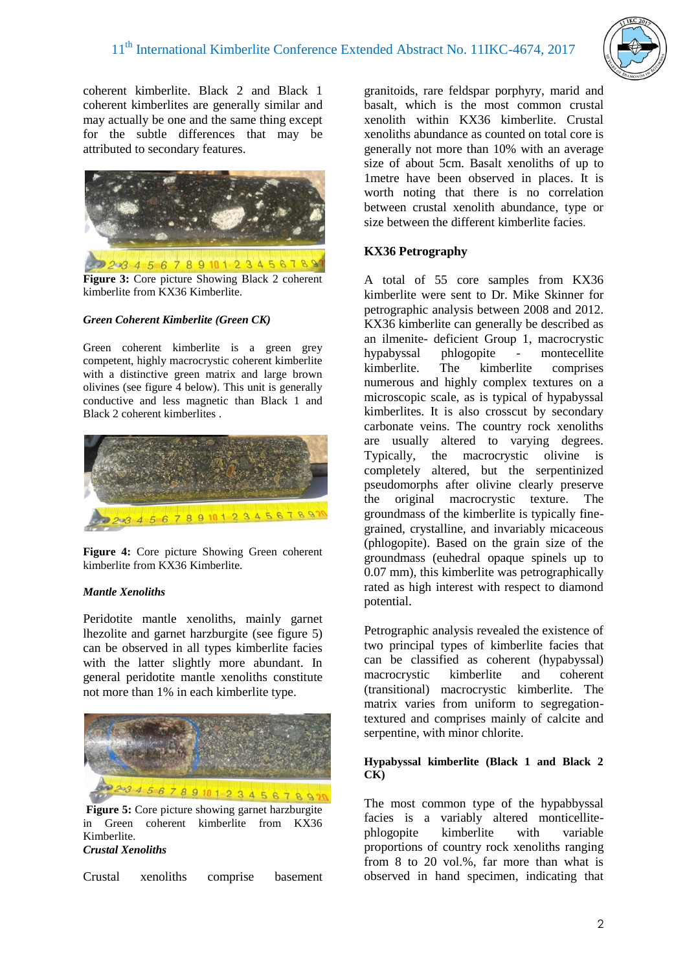

coherent kimberlite. Black 2 and Black 1 coherent kimberlites are generally similar and may actually be one and the same thing except for the subtle differences that may be attributed to secondary features.



Figure 3: Core picture Showing Black 2 coherent kimberlite from KX36 Kimberlite.

### *Green Coherent Kimberlite (Green CK)*

Green coherent kimberlite is a green grey competent, highly macrocrystic coherent kimberlite with a distinctive green matrix and large brown olivines (see figure 4 below). This unit is generally conductive and less magnetic than Black 1 and Black 2 coherent kimberlites .



**Figure 4:** Core picture Showing Green coherent kimberlite from KX36 Kimberlite.

### *Mantle Xenoliths*

Peridotite mantle xenoliths, mainly garnet lhezolite and garnet harzburgite (see figure 5) can be observed in all types kimberlite facies with the latter slightly more abundant. In general peridotite mantle xenoliths constitute not more than 1% in each kimberlite type.



in Green coherent kimberlite from KX36 Kimberlite. *Crustal Xenoliths*

Crustal xenoliths comprise basement

granitoids, rare feldspar porphyry, marid and basalt, which is the most common crustal xenolith within KX36 kimberlite. Crustal xenoliths abundance as counted on total core is generally not more than 10% with an average size of about 5cm. Basalt xenoliths of up to 1metre have been observed in places. It is worth noting that there is no correlation between crustal xenolith abundance, type or size between the different kimberlite facies.

## **KX36 Petrography**

A total of 55 core samples from KX36 kimberlite were sent to Dr. Mike Skinner for petrographic analysis between 2008 and 2012. KX36 kimberlite can generally be described as an ilmenite- deficient Group 1, macrocrystic hypabyssal phlogopite - montecellite kimberlite. The kimberlite comprises numerous and highly complex textures on a microscopic scale, as is typical of hypabyssal kimberlites. It is also crosscut by secondary carbonate veins. The country rock xenoliths are usually altered to varying degrees. Typically, the macrocrystic olivine is completely altered, but the serpentinized pseudomorphs after olivine clearly preserve the original macrocrystic texture. The groundmass of the kimberlite is typically finegrained, crystalline, and invariably micaceous (phlogopite). Based on the grain size of the groundmass (euhedral opaque spinels up to 0.07 mm), this kimberlite was petrographically rated as high interest with respect to diamond potential.

Petrographic analysis revealed the existence of two principal types of kimberlite facies that can be classified as coherent (hypabyssal) macrocrystic kimberlite and coherent (transitional) macrocrystic kimberlite. The matrix varies from uniform to segregationtextured and comprises mainly of calcite and serpentine, with minor chlorite.

#### **Hypabyssal kimberlite (Black 1 and Black 2 CK)**

The most common type of the hypabbyssal facies is a variably altered monticellitephlogopite kimberlite with variable proportions of country rock xenoliths ranging from 8 to 20 vol.%, far more than what is observed in hand specimen, indicating that